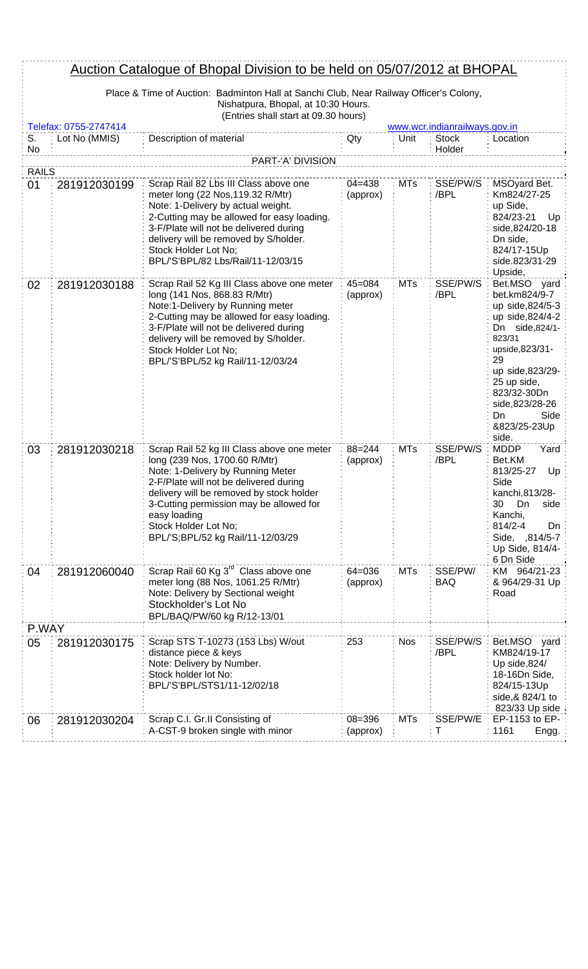| Auction Catalogue of Bhopal Division to be held on 05/07/2012 at BHOPAL |                                                                                        |                                                                                                                                                                                                                                                                                                                                |                        |            |                               |                                                                                                                                                                                                                                        |  |
|-------------------------------------------------------------------------|----------------------------------------------------------------------------------------|--------------------------------------------------------------------------------------------------------------------------------------------------------------------------------------------------------------------------------------------------------------------------------------------------------------------------------|------------------------|------------|-------------------------------|----------------------------------------------------------------------------------------------------------------------------------------------------------------------------------------------------------------------------------------|--|
|                                                                         | Place & Time of Auction: Badminton Hall at Sanchi Club, Near Railway Officer's Colony, |                                                                                                                                                                                                                                                                                                                                |                        |            |                               |                                                                                                                                                                                                                                        |  |
|                                                                         |                                                                                        | Nishatpura, Bhopal, at 10:30 Hours.<br>(Entries shall start at 09.30 hours)                                                                                                                                                                                                                                                    |                        |            |                               |                                                                                                                                                                                                                                        |  |
|                                                                         | Telefax: 0755-2747414                                                                  |                                                                                                                                                                                                                                                                                                                                |                        |            | www.wcr.indianrailways.gov.in |                                                                                                                                                                                                                                        |  |
| S.<br>No                                                                | Lot No (MMIS)                                                                          | Description of material                                                                                                                                                                                                                                                                                                        | Qty                    | Unit       | <b>Stock</b><br>Holder        | Location                                                                                                                                                                                                                               |  |
|                                                                         |                                                                                        | PART-'A' DIVISION                                                                                                                                                                                                                                                                                                              |                        |            |                               |                                                                                                                                                                                                                                        |  |
| <b>RAILS</b>                                                            |                                                                                        |                                                                                                                                                                                                                                                                                                                                |                        |            |                               |                                                                                                                                                                                                                                        |  |
| 01                                                                      | 281912030199                                                                           | Scrap Rail 82 Lbs III Class above one<br>meter long (22 Nos, 119.32 R/Mtr)<br>Note: 1-Delivery by actual weight.<br>2-Cutting may be allowed for easy loading.<br>3-F/Plate will not be delivered during<br>delivery will be removed by S/holder.<br>Stock Holder Lot No;<br>BPL/'S'BPL/82 Lbs/Rail/11-12/03/15                | $04 = 438$<br>(approx) | <b>MTs</b> | SSE/PW/S<br>/BPL              | MSOyard Bet.<br>Km824/27-25<br>up Side,<br>824/23-21<br>Up<br>side, 824/20-18<br>Dn side,<br>824/17-15Up<br>side.823/31-29<br>Upside,                                                                                                  |  |
| 02                                                                      | 281912030188                                                                           | Scrap Rail 52 Kg III Class above one meter<br>long (141 Nos, 868.83 R/Mtr)<br>Note:1-Delivery by Running meter<br>2-Cutting may be allowed for easy loading.<br>3-F/Plate will not be delivered during<br>delivery will be removed by S/holder.<br>Stock Holder Lot No;<br>BPL/'S'BPL/52 kg Rail/11-12/03/24                   | $45 = 084$<br>(approx) | <b>MTs</b> | SSE/PW/S<br>/BPL              | Bet.MSO yard<br>bet.km824/9-7<br>up side, 824/5-3<br>up side, 824/4-2<br>Dn side,824/1-<br>823/31<br>upside, 823/31-<br>29<br>up side, 823/29-<br>25 up side,<br>823/32-30Dn<br>side, 823/28-26<br>Side<br>Dn<br>&823/25-23Up<br>side. |  |
| 03                                                                      | 281912030218                                                                           | Scrap Rail 52 kg III Class above one meter<br>long (239 Nos, 1700.60 R/Mtr)<br>Note: 1-Delivery by Running Meter<br>2-F/Plate will not be delivered during<br>delivery will be removed by stock holder<br>3-Cutting permission may be allowed for<br>easy loading<br>Stock Holder Lot No;<br>BPL/'S;BPL/52 kg Rail/11-12/03/29 | $88 = 244$<br>(approx) | <b>MTs</b> | SSE/PW/S<br>/BPL              | <b>MDDP</b><br>Yard<br>Bet.KM<br>813/25-27<br>Up<br>Side<br>kanchi, 813/28-<br>30<br>Dn<br>side<br>Kanchi,<br>814/2-4<br>Dn<br>Side, ,814/5-7<br>Up Side, 814/4-<br>6 Dn Side                                                          |  |
| 04                                                                      | 281912060040                                                                           | Scrap Rail 60 Kg 3 <sup>rd</sup> Class above one<br>meter long (88 Nos, 1061.25 R/Mtr)<br>Note: Delivery by Sectional weight<br>Stockholder's Lot No<br>BPL/BAQ/PW/60 kg R/12-13/01                                                                                                                                            | $64 = 036$<br>(approx) | <b>MTs</b> | SSE/PW/<br>BAQ                | KM 964/21-23<br>& 964/29-31 Up<br>Road                                                                                                                                                                                                 |  |
| P.WAY                                                                   |                                                                                        |                                                                                                                                                                                                                                                                                                                                |                        |            |                               |                                                                                                                                                                                                                                        |  |
| 05                                                                      | 281912030175                                                                           | Scrap STS T-10273 (153 Lbs) W/out<br>distance piece & keys<br>Note: Delivery by Number.<br>Stock holder lot No:<br>BPL/'S'BPL/STS1/11-12/02/18                                                                                                                                                                                 | 253                    | <b>Nos</b> | SSE/PW/S<br>/BPL              | Bet.MSO yard<br>KM824/19-17<br>Up side,824/<br>18-16Dn Side,<br>824/15-13Up<br>side, & 824/1 to<br>823/33 Up side                                                                                                                      |  |
| 06                                                                      | 281912030204                                                                           | Scrap C.I. Gr.II Consisting of<br>A-CST-9 broken single with minor                                                                                                                                                                                                                                                             | $08 = 396$<br>(approx) | <b>MTs</b> | SSE/PW/E<br>т                 | EP-1153 to EP-<br>1161<br>Engg.                                                                                                                                                                                                        |  |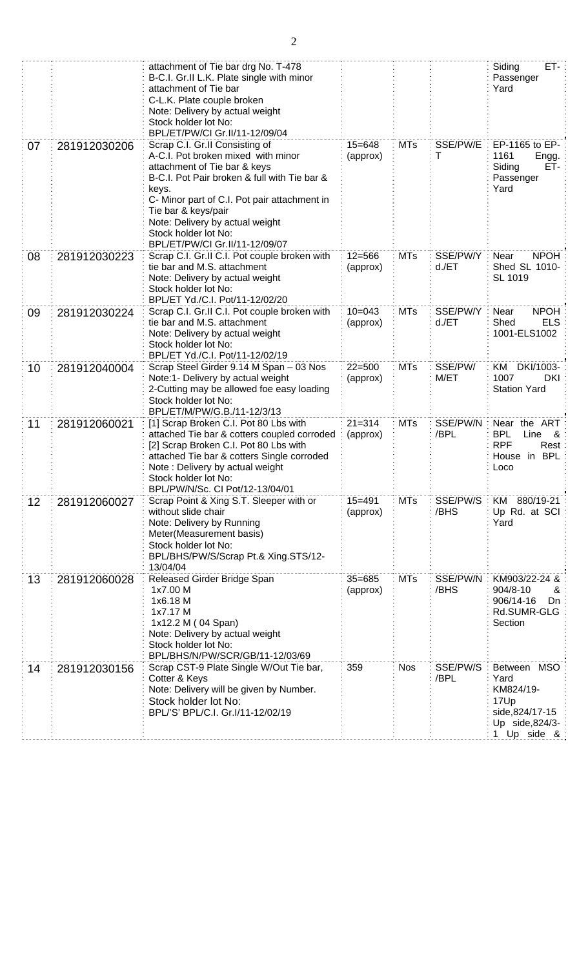|    |              | attachment of Tie bar drg No. T-478<br>B-C.I. Gr.II L.K. Plate single with minor<br>attachment of Tie bar<br>C-L.K. Plate couple broken<br>Note: Delivery by actual weight<br>Stock holder lot No:<br>BPL/ET/PW/CI Gr.II/11-12/09/04                                                                                              |                        |            |                      | ET-<br>Siding<br>Passenger<br>Yard                                                            |
|----|--------------|-----------------------------------------------------------------------------------------------------------------------------------------------------------------------------------------------------------------------------------------------------------------------------------------------------------------------------------|------------------------|------------|----------------------|-----------------------------------------------------------------------------------------------|
| 07 | 281912030206 | Scrap C.I. Gr.II Consisting of<br>A-C.I. Pot broken mixed with minor<br>attachment of Tie bar & keys<br>B-C.I. Pot Pair broken & full with Tie bar &<br>keys.<br>C- Minor part of C.I. Pot pair attachment in<br>Tie bar & keys/pair<br>Note: Delivery by actual weight<br>Stock holder lot No:<br>BPL/ET/PW/CI Gr.II/11-12/09/07 | $15 = 648$<br>(approx) | <b>MTs</b> | SSE/PW/E<br>Τ        | EP-1165 to EP-<br>1161<br>Engg.<br>ET-<br>Siding<br>Passenger<br>Yard                         |
| 08 | 281912030223 | Scrap C.I. Gr.II C.I. Pot couple broken with<br>tie bar and M.S. attachment<br>Note: Delivery by actual weight<br>Stock holder lot No:<br>BPL/ET Yd./C.I. Pot/11-12/02/20                                                                                                                                                         | $12 = 566$<br>(approx) | <b>MTs</b> | SSE/PW/Y<br>$d$ ./ET | <b>NPOH</b><br>Near<br>Shed SL 1010-<br>SL 1019                                               |
| 09 | 281912030224 | Scrap C.I. Gr.II C.I. Pot couple broken with<br>$10 = 043$<br>tie bar and M.S. attachment<br>(approx)<br>Note: Delivery by actual weight<br>Stock holder lot No:<br>BPL/ET Yd./C.I. Pot/11-12/02/19                                                                                                                               |                        | <b>MTs</b> | SSE/PW/Y<br>$d$ ./ET | <b>NPOH</b><br>Near<br><b>ELS</b><br>Shed<br>1001-ELS1002                                     |
| 10 | 281912040004 | Scrap Steel Girder 9.14 M Span - 03 Nos<br>Note:1- Delivery by actual weight<br>2-Cutting may be allowed foe easy loading<br>Stock holder lot No:<br>BPL/ET/M/PW/G.B./11-12/3/13                                                                                                                                                  | $22 = 500$<br>(approx) | <b>MTs</b> | SSE/PW/<br>M/ET      | KM DKI/1003-<br>1007<br>DKI<br><b>Station Yard</b>                                            |
| 11 | 281912060021 | [1] Scrap Broken C.I. Pot 80 Lbs with<br>attached Tie bar & cotters coupled corroded<br>[2] Scrap Broken C.I. Pot 80 Lbs with<br>attached Tie bar & cotters Single corroded<br>Note: Delivery by actual weight<br>Stock holder lot No:<br>BPL/PW/N/Sc. CI Pot/12-13/04/01                                                         | $21 = 314$<br>(approx) | <b>MTs</b> | SSE/PW/N<br>/BPL     | Near the ART<br>Line &<br><b>BPL</b><br><b>RPF</b><br>Rest<br>House in BPL<br>Loco            |
| 12 | 281912060027 | Scrap Point & Xing S.T. Sleeper with or<br>without slide chair<br>Note: Delivery by Running<br>Meter(Measurement basis)<br>Stock holder lot No:<br>BPL/BHS/PW/S/Scrap Pt.& Xing.STS/12-<br>13/04/04                                                                                                                               | $15 = 491$<br>(approx) | <b>MTs</b> | SSE/PW/S<br>/BHS     | KM 880/19-21<br>Up Rd. at SCI<br>Yard                                                         |
| 13 | 281912060028 | Released Girder Bridge Span<br>1x7.00 M<br>1x6.18 M<br>1x7.17 M<br>1x12.2 M (04 Span)<br>Note: Delivery by actual weight<br>Stock holder lot No:<br>BPL/BHS/N/PW/SCR/GB/11-12/03/69                                                                                                                                               | $35 = 685$<br>(approx) | <b>MTs</b> | SSE/PW/N<br>/BHS     | KM903/22-24 &<br>904/8-10<br>ଝ<br>906/14-16<br>Dn<br>Rd.SUMR-GLG<br>Section                   |
| 14 | 281912030156 | Scrap CST-9 Plate Single W/Out Tie bar,<br>Cotter & Keys<br>Note: Delivery will be given by Number.<br>Stock holder lot No:<br>BPL/'S' BPL/C.I. Gr.I/11-12/02/19                                                                                                                                                                  | 359                    | <b>Nos</b> | SSE/PW/S<br>/BPL     | Between MSO<br>Yard<br>KM824/19-<br>17Up<br>side, 824/17-15<br>Up side, 824/3-<br>1 Up side & |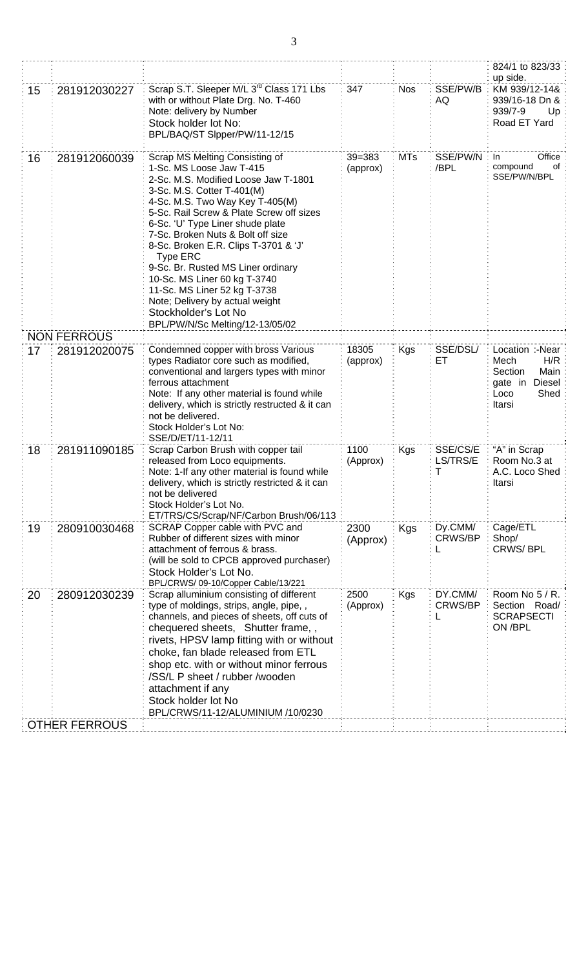|    |                      |                                                                                                                                                                                                                                                                                                                                                                                                                                                                                                                                                         |                        |            |                           | 824/1 to 823/33<br>up side.                                                                   |
|----|----------------------|---------------------------------------------------------------------------------------------------------------------------------------------------------------------------------------------------------------------------------------------------------------------------------------------------------------------------------------------------------------------------------------------------------------------------------------------------------------------------------------------------------------------------------------------------------|------------------------|------------|---------------------------|-----------------------------------------------------------------------------------------------|
| 15 | 281912030227         | Scrap S.T. Sleeper M/L 3 <sup>rd</sup> Class 171 Lbs<br>with or without Plate Drg. No. T-460<br>Note: delivery by Number<br>Stock holder lot No:<br>BPL/BAQ/ST Slpper/PW/11-12/15                                                                                                                                                                                                                                                                                                                                                                       | 347                    | <b>Nos</b> | SSE/PW/B<br>AQ            | KM 939/12-14&<br>939/16-18 Dn &<br>939/7-9<br>Up<br>Road ET Yard                              |
| 16 | 281912060039         | Scrap MS Melting Consisting of<br>1-Sc. MS Loose Jaw T-415<br>2-Sc. M.S. Modified Loose Jaw T-1801<br>3-Sc. M.S. Cotter T-401(M)<br>4-Sc. M.S. Two Way Key T-405(M)<br>5-Sc. Rail Screw & Plate Screw off sizes<br>6-Sc. 'U' Type Liner shude plate<br>7-Sc. Broken Nuts & Bolt off size<br>8-Sc. Broken E.R. Clips T-3701 & 'J'<br><b>Type ERC</b><br>9-Sc. Br. Rusted MS Liner ordinary<br>10-Sc. MS Liner 60 kg T-3740<br>11-Sc. MS Liner 52 kg T-3738<br>Note; Delivery by actual weight<br>Stockholder's Lot No<br>BPL/PW/N/Sc Melting/12-13/05/02 | $39 = 383$<br>(approx) | <b>MTs</b> | SSE/PW/N<br>/BPL          | Office<br>In.<br>compound<br>of<br>SSE/PW/N/BPL                                               |
|    | <b>NON FERROUS</b>   |                                                                                                                                                                                                                                                                                                                                                                                                                                                                                                                                                         |                        |            |                           |                                                                                               |
| 17 | 281912020075         | Condemned copper with bross Various<br>types Radiator core such as modified,<br>conventional and largers types with minor<br>ferrous attachment<br>Note: If any other material is found while<br>delivery, which is strictly restructed & it can<br>not be delivered.<br>Stock Holder's Lot No:<br>SSE/D/ET/11-12/11                                                                                                                                                                                                                                    | 18305<br>(approx)      | <b>Kgs</b> | SSE/DSL/<br>ET            | Location :-Near<br>H/R<br>Mech<br>Main<br>Section<br>gate in Diesel<br>Shed<br>Loco<br>Itarsi |
| 18 | 281911090185         | Scrap Carbon Brush with copper tail<br>released from Loco equipments.<br>Note: 1-If any other material is found while<br>delivery, which is strictly restricted & it can<br>not be delivered<br>Stock Holder's Lot No.<br>ET/TRS/CS/Scrap/NF/Carbon Brush/06/113                                                                                                                                                                                                                                                                                        | 1100<br>(Approx)       | Kgs        | SSE/CS/E<br>LS/TRS/E<br>Т | "A" in Scrap<br>Room No.3 at<br>A.C. Loco Shed<br>Itarsi                                      |
| 19 | 280910030468         | SCRAP Copper cable with PVC and<br>Rubber of different sizes with minor<br>attachment of ferrous & brass.<br>(will be sold to CPCB approved purchaser)<br>Stock Holder's Lot No.<br>BPL/CRWS/ 09-10/Copper Cable/13/221                                                                                                                                                                                                                                                                                                                                 | 2300<br>(Approx)       | Kgs        | Dy.CMM/<br><b>CRWS/BP</b> | Cage/ETL<br>Shop/<br><b>CRWS/BPL</b>                                                          |
| 20 | 280912030239         | Scrap alluminium consisting of different<br>type of moldings, strips, angle, pipe,,<br>channels, and pieces of sheets, off cuts of<br>chequered sheets, Shutter frame,,<br>rivets, HPSV lamp fitting with or without<br>choke, fan blade released from ETL<br>shop etc. with or without minor ferrous<br>/SS/L P sheet / rubber /wooden<br>attachment if any<br>Stock holder lot No<br>BPL/CRWS/11-12/ALUMINIUM /10/0230                                                                                                                                | 2500<br>(Approx)       | Kgs        | DY.CMM/<br>CRWS/BP        | Room No 5 / R.<br>Section Road/<br><b>SCRAPSECTI</b><br>ON /BPL                               |
|    | <b>OTHER FERROUS</b> |                                                                                                                                                                                                                                                                                                                                                                                                                                                                                                                                                         |                        |            |                           |                                                                                               |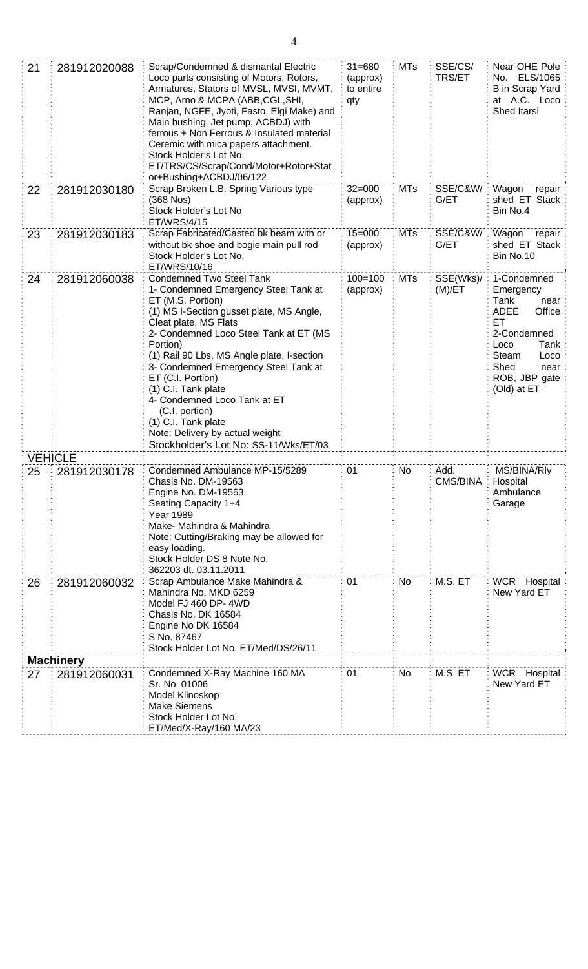| 21 | 281912020088                                                                                                                                                                                                                                                                                         | Scrap/Condemned & dismantal Electric<br>Loco parts consisting of Motors, Rotors,<br>Armatures, Stators of MVSL, MVSI, MVMT,<br>MCP, Arno & MCPA (ABB, CGL, SHI,<br>Ranjan, NGFE, Jyoti, Fasto, Elgi Make) and<br>Main bushing, Jet pump, ACBDJ) with<br>ferrous + Non Ferrous & Insulated material<br>Ceremic with mica papers attachment.<br>Stock Holder's Lot No.<br>ET/TRS/CS/Scrap/Cond/Motor+Rotor+Stat<br>or+Bushing+ACBDJ/06/122                                                                       | $31 = 680$<br>(approx)<br>to entire<br>qty | <b>MTs</b> | SSE/CS/<br>TRS/ET           | Near OHE Pole<br>No. ELS/1065<br><b>B</b> in Scrap Yard<br>at A.C. Loco<br>Shed Itarsi                                                                                  |
|----|------------------------------------------------------------------------------------------------------------------------------------------------------------------------------------------------------------------------------------------------------------------------------------------------------|----------------------------------------------------------------------------------------------------------------------------------------------------------------------------------------------------------------------------------------------------------------------------------------------------------------------------------------------------------------------------------------------------------------------------------------------------------------------------------------------------------------|--------------------------------------------|------------|-----------------------------|-------------------------------------------------------------------------------------------------------------------------------------------------------------------------|
| 22 | 281912030180                                                                                                                                                                                                                                                                                         | Scrap Broken L.B. Spring Various type<br>(368 Nos)<br>Stock Holder's Lot No<br>ET/WRS/4/15                                                                                                                                                                                                                                                                                                                                                                                                                     | $32 = 000$<br>(approx)                     | <b>MTs</b> | SSE/C&W/<br>G/ET            | Wagon<br>repair<br>shed ET Stack<br>Bin No.4                                                                                                                            |
| 23 | 281912030183                                                                                                                                                                                                                                                                                         | Scrap Fabricated/Casted bk beam with or<br>without bk shoe and bogie main pull rod<br>Stock Holder's Lot No.<br>ET/WRS/10/16                                                                                                                                                                                                                                                                                                                                                                                   | $15 = 000$<br>(approx)                     | <b>MTs</b> | SSE/C&W/<br>G/ET            | Wagon<br>repair<br>shed ET Stack<br>Bin No.10                                                                                                                           |
| 24 | 281912060038                                                                                                                                                                                                                                                                                         | <b>Condemned Two Steel Tank</b><br>1- Condemned Emergency Steel Tank at<br>ET (M.S. Portion)<br>(1) MS I-Section gusset plate, MS Angle,<br>Cleat plate, MS Flats<br>2- Condemned Loco Steel Tank at ET (MS<br>Portion)<br>(1) Rail 90 Lbs, MS Angle plate, I-section<br>3- Condemned Emergency Steel Tank at<br>ET (C.I. Portion)<br>(1) C.I. Tank plate<br>4- Condemned Loco Tank at ET<br>(C.I. portion)<br>(1) C.I. Tank plate<br>Note: Delivery by actual weight<br>Stockholder's Lot No: SS-11/Wks/ET/03 |                                            | <b>MTs</b> | SSE(Wks)/<br>(M)/ET         | 1-Condemned<br>Emergency<br>Tank<br>near<br>Office<br><b>ADEE</b><br>ET<br>2-Condemned<br>Tank<br>Loco<br>Steam<br>Loco<br>Shed<br>near<br>ROB, JBP gate<br>(Old) at ET |
|    |                                                                                                                                                                                                                                                                                                      |                                                                                                                                                                                                                                                                                                                                                                                                                                                                                                                |                                            |            |                             |                                                                                                                                                                         |
| 25 | <b>VEHICLE</b><br>Condemned Ambulance MP-15/5289<br>281912030178<br>Chasis No. DM-19563<br>Engine No. DM-19563<br>Seating Capacity 1+4<br>Year 1989<br>Make- Mahindra & Mahindra<br>Note: Cutting/Braking may be allowed for<br>easy loading.<br>Stock Holder DS 8 Note No.<br>362203 dt. 03.11.2011 |                                                                                                                                                                                                                                                                                                                                                                                                                                                                                                                | 01                                         | No         | Add.<br>CMS/BINA            | MS/BINA/Rly<br>Hospital<br>Ambulance<br>Garage                                                                                                                          |
| 26 | 281912060032                                                                                                                                                                                                                                                                                         | M.S. ET<br>01<br>No<br>Scrap Ambulance Make Mahindra &<br>Mahindra No. MKD 6259<br>Model FJ 460 DP-4WD<br>Chasis No. DK 16584<br>Engine No DK 16584<br>S No. 87467<br>Stock Holder Lot No. ET/Med/DS/26/11                                                                                                                                                                                                                                                                                                     |                                            |            | WCR Hospital<br>New Yard ET |                                                                                                                                                                         |
|    | <b>Machinery</b>                                                                                                                                                                                                                                                                                     |                                                                                                                                                                                                                                                                                                                                                                                                                                                                                                                |                                            |            |                             |                                                                                                                                                                         |
| 27 | 281912060031                                                                                                                                                                                                                                                                                         | Condemned X-Ray Machine 160 MA<br>Sr. No. 01006<br>Model Klinoskop<br><b>Make Siemens</b><br>Stock Holder Lot No.<br>ET/Med/X-Ray/160 MA/23                                                                                                                                                                                                                                                                                                                                                                    | 01                                         | No         | M.S. ET                     | WCR Hospital<br>New Yard ET                                                                                                                                             |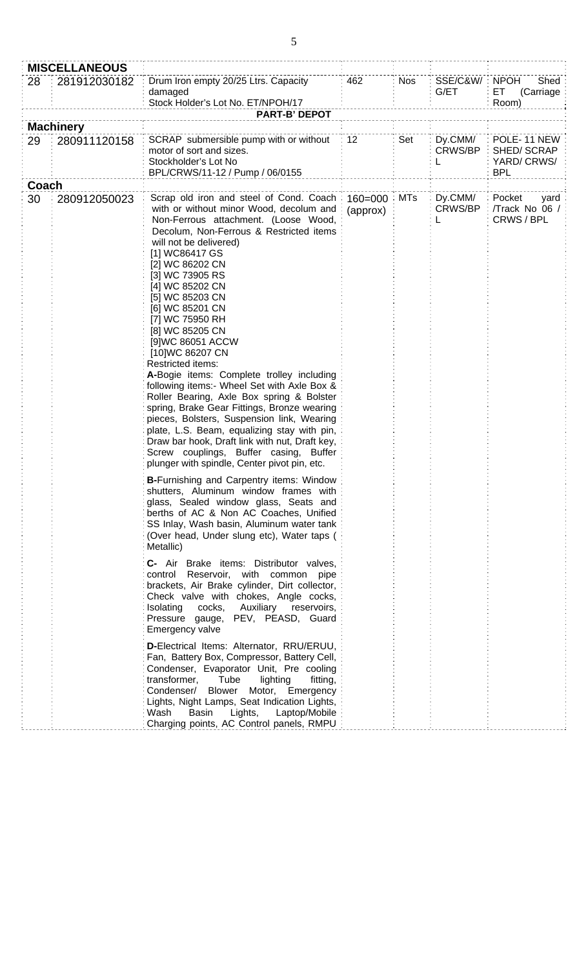|                                        | <b>MISCELLANEOUS</b> |                                                                                                                                                                                                                                                                                                                                                                                                                                                                                                                                                                                                                                                                                                                                                                                                                                                      |                               |            |                                |                                                       |
|----------------------------------------|----------------------|------------------------------------------------------------------------------------------------------------------------------------------------------------------------------------------------------------------------------------------------------------------------------------------------------------------------------------------------------------------------------------------------------------------------------------------------------------------------------------------------------------------------------------------------------------------------------------------------------------------------------------------------------------------------------------------------------------------------------------------------------------------------------------------------------------------------------------------------------|-------------------------------|------------|--------------------------------|-------------------------------------------------------|
| 28                                     | 281912030182         | Drum Iron empty 20/25 Ltrs. Capacity<br>damaged<br>Stock Holder's Lot No. ET/NPOH/17<br><b>PART-B' DEPOT</b>                                                                                                                                                                                                                                                                                                                                                                                                                                                                                                                                                                                                                                                                                                                                         | 462                           | <b>Nos</b> | SSE/C&W/<br>G/ET               | <b>NPOH</b><br>Shed<br>ET<br>(Carriage<br>Room)       |
|                                        |                      |                                                                                                                                                                                                                                                                                                                                                                                                                                                                                                                                                                                                                                                                                                                                                                                                                                                      |                               |            |                                |                                                       |
| <b>Machinery</b><br>29<br>280911120158 |                      | SCRAP submersible pump with or without<br>motor of sort and sizes.<br>Stockholder's Lot No<br>BPL/CRWS/11-12 / Pump / 06/0155                                                                                                                                                                                                                                                                                                                                                                                                                                                                                                                                                                                                                                                                                                                        | 12                            | Set        | Dy.CMM/<br><b>CRWS/BP</b><br>L | POLE-11 NEW<br>SHED/SCRAP<br>YARD/CRWS/<br><b>BPL</b> |
| Coach                                  |                      |                                                                                                                                                                                                                                                                                                                                                                                                                                                                                                                                                                                                                                                                                                                                                                                                                                                      |                               |            |                                |                                                       |
| 30                                     | 280912050023         | Scrap old iron and steel of Cond. Coach:<br>with or without minor Wood, decolum and<br>Non-Ferrous attachment. (Loose Wood,<br>Decolum, Non-Ferrous & Restricted items<br>will not be delivered)<br>[1] WC86417 GS<br>[2] WC 86202 CN<br>[3] WC 73905 RS<br>[4] WC 85202 CN<br>[5] WC 85203 CN<br>[6] WC 85201 CN<br>[7] WC 75950 RH<br>[8] WC 85205 CN<br>[9]WC 86051 ACCW<br>[10]WC 86207 CN<br>Restricted items:<br>A-Bogie items: Complete trolley including<br>following items:- Wheel Set with Axle Box &<br>Roller Bearing, Axle Box spring & Bolster<br>spring, Brake Gear Fittings, Bronze wearing<br>pieces, Bolsters, Suspension link, Wearing<br>plate, L.S. Beam, equalizing stay with pin,<br>Draw bar hook, Draft link with nut, Draft key,<br>Screw couplings, Buffer casing, Buffer<br>plunger with spindle, Center pivot pin, etc. | $160 = 000$ : MTs<br>(approx) |            | Dy.CMM/<br><b>CRWS/BP</b>      | Pocket<br>yard<br>/Track No 06 /<br>CRWS/BPL          |
|                                        |                      | <b>B-Furnishing and Carpentry items: Window</b><br>shutters, Aluminum window frames with<br>glass, Sealed window glass, Seats and<br>berths of AC & Non AC Coaches, Unified<br>SS Inlay, Wash basin, Aluminum water tank<br>(Over head, Under slung etc), Water taps (<br>Metallic)                                                                                                                                                                                                                                                                                                                                                                                                                                                                                                                                                                  |                               |            |                                |                                                       |
|                                        |                      | C- Air Brake items: Distributor valves,<br>control Reservoir, with common pipe<br>brackets, Air Brake cylinder, Dirt collector,<br>Check valve with chokes, Angle cocks,<br>Auxiliary reservoirs,<br>Isolating<br>cocks,<br>Pressure gauge, PEV, PEASD, Guard<br>Emergency valve                                                                                                                                                                                                                                                                                                                                                                                                                                                                                                                                                                     |                               |            |                                |                                                       |
|                                        |                      | D-Electrical Items: Alternator, RRU/ERUU,<br>Fan, Battery Box, Compressor, Battery Cell,<br>Condenser, Evaporator Unit, Pre cooling<br>transformer,<br>Tube<br>lighting<br>fitting,<br>Motor, Emergency<br>Condenser/ Blower<br>Lights, Night Lamps, Seat Indication Lights,<br>Basin<br>Lights,<br>Laptop/Mobile<br>Wash<br>Charging points, AC Control panels, RMPU                                                                                                                                                                                                                                                                                                                                                                                                                                                                                |                               |            |                                |                                                       |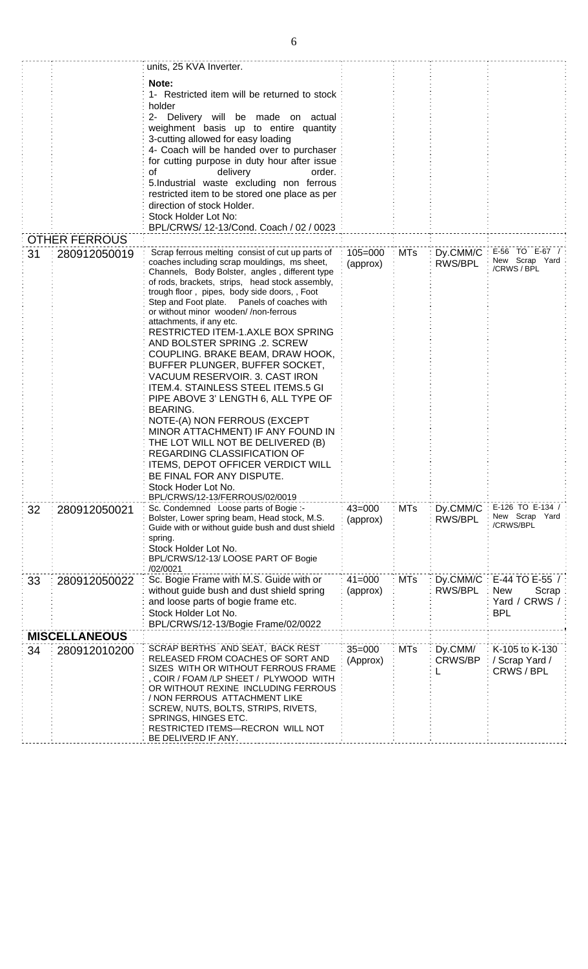|    |                      | units, 25 KVA Inverter.                                                                           |             |            |                |                               |
|----|----------------------|---------------------------------------------------------------------------------------------------|-------------|------------|----------------|-------------------------------|
|    |                      | Note:                                                                                             |             |            |                |                               |
|    |                      | 1- Restricted item will be returned to stock                                                      |             |            |                |                               |
|    |                      | holder<br>2- Delivery will be made on actual                                                      |             |            |                |                               |
|    |                      | weighment basis up to entire quantity                                                             |             |            |                |                               |
|    |                      | 3-cutting allowed for easy loading                                                                |             |            |                |                               |
|    |                      | 4- Coach will be handed over to purchaser                                                         |             |            |                |                               |
|    |                      | for cutting purpose in duty hour after issue                                                      |             |            |                |                               |
|    |                      | of<br>delivery<br>order.<br>5.Industrial waste excluding non ferrous                              |             |            |                |                               |
|    |                      | restricted item to be stored one place as per                                                     |             |            |                |                               |
|    |                      | direction of stock Holder.                                                                        |             |            |                |                               |
|    |                      | Stock Holder Lot No:<br>BPL/CRWS/ 12-13/Cond. Coach / 02 / 0023                                   |             |            |                |                               |
|    | <b>OTHER FERROUS</b> |                                                                                                   |             |            |                |                               |
| 31 | 280912050019         | Scrap ferrous melting consist of cut up parts of                                                  | $105 = 000$ | <b>MTs</b> |                | Dy.CMM/C : E-56 TO E-67 / :   |
|    |                      | coaches including scrap mouldings, ms sheet,                                                      | (approx)    |            | RWS/BPL        | New Scrap Yard<br>/CRWS / BPL |
|    |                      | Channels, Body Bolster, angles, different type<br>of rods, brackets, strips, head stock assembly, |             |            |                |                               |
|    |                      | trough floor, pipes, body side doors,, Foot                                                       |             |            |                |                               |
|    |                      | Step and Foot plate.  Panels of coaches with<br>or without minor wooden//non-ferrous              |             |            |                |                               |
|    |                      | attachments, if any etc.                                                                          |             |            |                |                               |
|    |                      | RESTRICTED ITEM-1.AXLE BOX SPRING                                                                 |             |            |                |                               |
|    |                      | AND BOLSTER SPRING .2. SCREW<br>COUPLING. BRAKE BEAM, DRAW HOOK,                                  |             |            |                |                               |
|    |                      | BUFFER PLUNGER, BUFFER SOCKET,                                                                    |             |            |                |                               |
|    |                      | VACUUM RESERVOIR. 3. CAST IRON                                                                    |             |            |                |                               |
|    |                      | ITEM.4. STAINLESS STEEL ITEMS.5 GI                                                                |             |            |                |                               |
|    |                      | PIPE ABOVE 3' LENGTH 6, ALL TYPE OF<br><b>BEARING.</b>                                            |             |            |                |                               |
|    |                      | NOTE-(A) NON FERROUS (EXCEPT                                                                      |             |            |                |                               |
|    |                      | MINOR ATTACHMENT) IF ANY FOUND IN                                                                 |             |            |                |                               |
|    |                      | THE LOT WILL NOT BE DELIVERED (B)                                                                 |             |            |                |                               |
|    |                      | REGARDING CLASSIFICATION OF<br><b>ITEMS, DEPOT OFFICER VERDICT WILL</b>                           |             |            |                |                               |
|    |                      | BE FINAL FOR ANY DISPUTE.                                                                         |             |            |                |                               |
|    |                      | Stock Hoder Lot No.                                                                               |             |            |                |                               |
|    |                      | BPL/CRWS/12-13/FERROUS/02/0019<br>Sc. Condemned Loose parts of Bogie :-                           | $43 = 000$  | <b>MTs</b> | Dy.CMM/C       | E-126 TO E-134 /              |
| 32 | 280912050021         | Bolster, Lower spring beam, Head stock, M.S.                                                      | (approx)    |            | RWS/BPL        | New Scrap Yard                |
|    |                      | Guide with or without guide bush and dust shield                                                  |             |            |                | /CRWS/BPL                     |
|    |                      | spring.<br>Stock Holder Lot No.                                                                   |             |            |                |                               |
|    |                      | BPL/CRWS/12-13/ LOOSE PART OF Bogie                                                               |             |            |                |                               |
|    |                      | /02/0021                                                                                          | $41 = 000$  | <b>MTs</b> | Dy.CMM/C       | E-44 TO E-55 /                |
| 33 | 280912050022         | Sc. Bogie Frame with M.S. Guide with or<br>without guide bush and dust shield spring              | (approx)    |            | RWS/BPL        | <b>New</b><br>Scrap           |
|    |                      | and loose parts of bogie frame etc.                                                               |             |            |                | Yard / CRWS /                 |
|    |                      | Stock Holder Lot No.                                                                              |             |            |                | <b>BPL</b>                    |
|    | <b>MISCELLANEOUS</b> | BPL/CRWS/12-13/Bogie Frame/02/0022                                                                |             |            |                |                               |
| 34 | 280912010200         | SCRAP BERTHS AND SEAT, BACK REST                                                                  | $35 = 000$  | <b>MTs</b> | Dy.CMM/        | K-105 to K-130                |
|    |                      | RELEASED FROM COACHES OF SORT AND                                                                 | (Approx)    |            | <b>CRWS/BP</b> | / Scrap Yard /                |
|    |                      | SIZES WITH OR WITHOUT FERROUS FRAME<br>COIR / FOAM /LP SHEET / PLYWOOD WITH                       |             |            |                | CRWS/BPL                      |
|    |                      | OR WITHOUT REXINE INCLUDING FERROUS                                                               |             |            |                |                               |
|    |                      | / NON FERROUS ATTACHMENT LIKE                                                                     |             |            |                |                               |
|    |                      | SCREW, NUTS, BOLTS, STRIPS, RIVETS,<br>SPRINGS, HINGES ETC.                                       |             |            |                |                               |
|    |                      | RESTRICTED ITEMS-RECRON WILL NOT                                                                  |             |            |                |                               |
|    |                      | BE DELIVERD IF ANY.                                                                               |             |            |                |                               |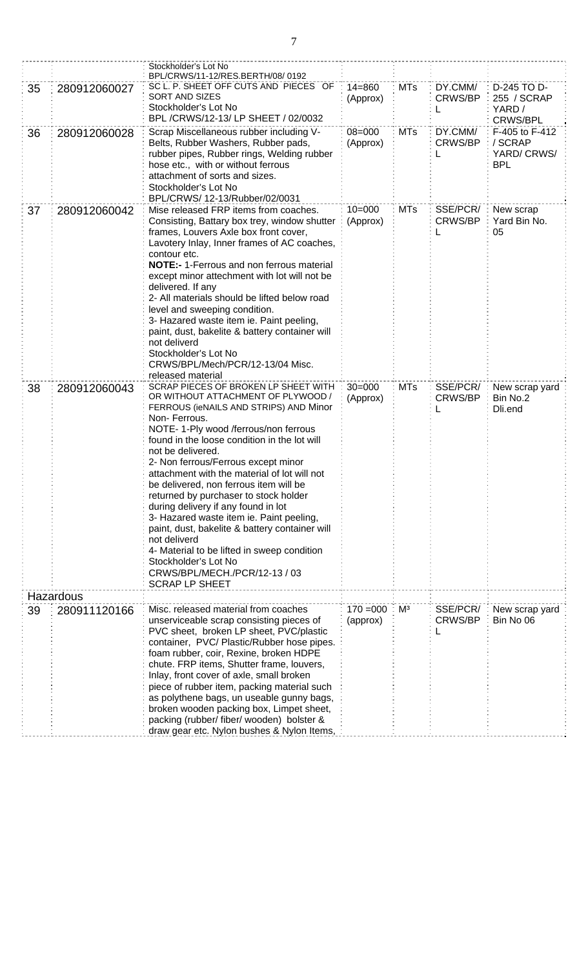|    |              | Stockholder's Lot No<br>BPL/CRWS/11-12/RES.BERTH/08/0192                                                                                                                                                                                                                                                                                                                                                                                                                                                                                                                                                                                                                                                           |                                                                   |                |                                                        |                                                       |
|----|--------------|--------------------------------------------------------------------------------------------------------------------------------------------------------------------------------------------------------------------------------------------------------------------------------------------------------------------------------------------------------------------------------------------------------------------------------------------------------------------------------------------------------------------------------------------------------------------------------------------------------------------------------------------------------------------------------------------------------------------|-------------------------------------------------------------------|----------------|--------------------------------------------------------|-------------------------------------------------------|
| 35 | 280912060027 | SC L. P. SHEET OFF CUTS AND PIECES OF<br><b>SORT AND SIZES</b><br>Stockholder's Lot No<br>BPL /CRWS/12-13/ LP SHEET / 02/0032                                                                                                                                                                                                                                                                                                                                                                                                                                                                                                                                                                                      | $14 = 860$<br>DY.CMM/<br><b>MTs</b><br><b>CRWS/BP</b><br>(Approx) |                | D-245 TO D-<br>255 / SCRAP<br>YARD/<br><b>CRWS/BPL</b> |                                                       |
| 36 | 280912060028 | Scrap Miscellaneous rubber including V-<br>Belts, Rubber Washers, Rubber pads,<br>rubber pipes, Rubber rings, Welding rubber<br>hose etc., with or without ferrous<br>attachment of sorts and sizes.<br>Stockholder's Lot No<br>BPL/CRWS/ 12-13/Rubber/02/0031                                                                                                                                                                                                                                                                                                                                                                                                                                                     | $08 = 000$<br>(Approx)                                            | <b>MTs</b>     | DY.CMM/<br><b>CRWS/BP</b><br>L                         | F-405 to F-412<br>/ SCRAP<br>YARD/CRWS/<br><b>BPL</b> |
| 37 | 280912060042 | Mise released FRP items from coaches.<br>Consisting, Battary box trey, window shutter<br>frames, Louvers Axle box front cover,<br>Lavotery Inlay, Inner frames of AC coaches,<br>contour etc.<br><b>NOTE:-</b> 1-Ferrous and non ferrous material<br>except minor attechment with lot will not be<br>delivered. If any<br>2- All materials should be lifted below road<br>level and sweeping condition.<br>3- Hazared waste item ie. Paint peeling,<br>paint, dust, bakelite & battery container will<br>not deliverd<br>Stockholder's Lot No<br>CRWS/BPL/Mech/PCR/12-13/04 Misc.<br>released material                                                                                                             | $10 = 000$<br>(Approx)                                            | <b>MTs</b>     | SSE/PCR/<br>CRWS/BP                                    | New scrap<br>Yard Bin No.<br>05                       |
| 38 | 280912060043 | SCRAP PIECES OF BROKEN LP SHEET WITH<br>OR WITHOUT ATTACHMENT OF PLYWOOD /<br>FERROUS (ieNAILS AND STRIPS) AND Minor<br>Non-Ferrous.<br>NOTE- 1-Ply wood /ferrous/non ferrous<br>found in the loose condition in the lot will<br>not be delivered.<br>2- Non ferrous/Ferrous except minor<br>attachment with the material of lot will not<br>be delivered, non ferrous item will be<br>returned by purchaser to stock holder<br>during delivery if any found in lot<br>3- Hazared waste item ie. Paint peeling,<br>paint, dust, bakelite & battery container will<br>not deliverd<br>4- Material to be lifted in sweep condition<br>Stockholder's Lot No<br>CRWS/BPL/MECH./PCR/12-13 / 03<br><b>SCRAP LP SHEET</b> | $30 = 000$<br>(Approx)                                            | <b>MTs</b>     | SSE/PCR/<br><b>CRWS/BP</b>                             | New scrap yard<br>Bin No.2<br>Dli.end                 |
|    | Hazardous    |                                                                                                                                                                                                                                                                                                                                                                                                                                                                                                                                                                                                                                                                                                                    |                                                                   |                |                                                        |                                                       |
| 39 | 280911120166 | Misc. released material from coaches<br>unserviceable scrap consisting pieces of<br>PVC sheet, broken LP sheet, PVC/plastic<br>container, PVC/ Plastic/Rubber hose pipes.<br>foam rubber, coir, Rexine, broken HDPE<br>chute. FRP items, Shutter frame, louvers,<br>Inlay, front cover of axle, small broken<br>piece of rubber item, packing material such<br>as polythene bags, un useable gunny bags,<br>broken wooden packing box, Limpet sheet,<br>packing (rubber/ fiber/ wooden) bolster &<br>draw gear etc. Nylon bushes & Nylon Items,                                                                                                                                                                    | $170 = 000$<br>(approx)                                           | M <sup>3</sup> | SSE/PCR/<br>CRWS/BP                                    | New scrap yard<br>Bin No 06                           |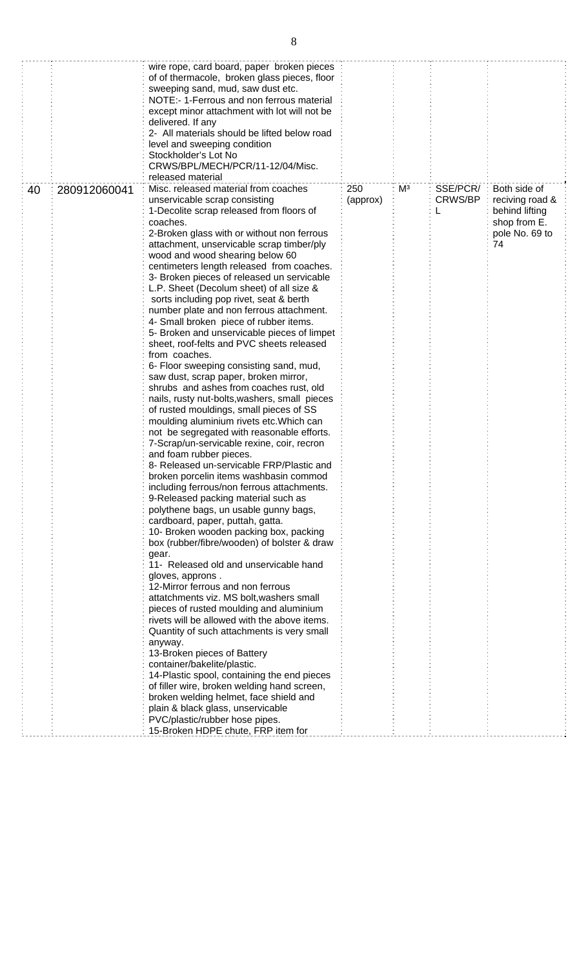|    |              | wire rope, card board, paper broken pieces<br>of of thermacole, broken glass pieces, floor<br>sweeping sand, mud, saw dust etc.<br>NOTE:- 1-Ferrous and non ferrous material<br>except minor attachment with lot will not be<br>delivered. If any<br>2- All materials should be lifted below road<br>level and sweeping condition<br>Stockholder's Lot No<br>CRWS/BPL/MECH/PCR/11-12/04/Misc.<br>released material                                                                                                                                                                                                                                                                                                                                                                                                                                                                                                                                                                                                                                                                                                                                                                                                                                                                                                                                                                                                                                                                                                                                                                                                                                                                                                                                                                                                                                                                                                                                                                                                              |                 |    |                          |                                                                                           |
|----|--------------|---------------------------------------------------------------------------------------------------------------------------------------------------------------------------------------------------------------------------------------------------------------------------------------------------------------------------------------------------------------------------------------------------------------------------------------------------------------------------------------------------------------------------------------------------------------------------------------------------------------------------------------------------------------------------------------------------------------------------------------------------------------------------------------------------------------------------------------------------------------------------------------------------------------------------------------------------------------------------------------------------------------------------------------------------------------------------------------------------------------------------------------------------------------------------------------------------------------------------------------------------------------------------------------------------------------------------------------------------------------------------------------------------------------------------------------------------------------------------------------------------------------------------------------------------------------------------------------------------------------------------------------------------------------------------------------------------------------------------------------------------------------------------------------------------------------------------------------------------------------------------------------------------------------------------------------------------------------------------------------------------------------------------------|-----------------|----|--------------------------|-------------------------------------------------------------------------------------------|
| 40 | 280912060041 | Misc. released material from coaches<br>unservicable scrap consisting<br>1-Decolite scrap released from floors of<br>coaches.<br>2-Broken glass with or without non ferrous<br>attachment, unservicable scrap timber/ply<br>wood and wood shearing below 60<br>centimeters length released from coaches.<br>3- Broken pieces of released un servicable<br>L.P. Sheet (Decolum sheet) of all size &<br>sorts including pop rivet, seat & berth<br>number plate and non ferrous attachment.<br>4- Small broken piece of rubber items.<br>5- Broken and unservicable pieces of limpet<br>sheet, roof-felts and PVC sheets released<br>from coaches.<br>6- Floor sweeping consisting sand, mud,<br>saw dust, scrap paper, broken mirror,<br>shrubs and ashes from coaches rust, old<br>nails, rusty nut-bolts, washers, small pieces<br>of rusted mouldings, small pieces of SS<br>moulding aluminium rivets etc. Which can<br>not be segregated with reasonable efforts.<br>7-Scrap/un-servicable rexine, coir, recron<br>and foam rubber pieces.<br>8- Released un-servicable FRP/Plastic and<br>broken porcelin items washbasin commod<br>including ferrous/non ferrous attachments.<br>9-Released packing material such as<br>polythene bags, un usable gunny bags,<br>cardboard, paper, puttah, gatta.<br>10- Broken wooden packing box, packing<br>box (rubber/fibre/wooden) of bolster & draw<br>gear.<br>11- Released old and unservicable hand<br>gloves, approns.<br>12-Mirror ferrous and non ferrous<br>attatchments viz. MS bolt, washers small<br>pieces of rusted moulding and aluminium<br>rivets will be allowed with the above items.<br>Quantity of such attachments is very small<br>anyway.<br>13-Broken pieces of Battery<br>container/bakelite/plastic.<br>14-Plastic spool, containing the end pieces<br>of filler wire, broken welding hand screen,<br>broken welding helmet, face shield and<br>plain & black glass, unservicable<br>PVC/plastic/rubber hose pipes.<br>15-Broken HDPE chute, FRP item for | 250<br>(approx) | Mз | SSE/PCR/<br>CRWS/BP<br>L | Both side of<br>reciving road &<br>behind lifting<br>shop from E.<br>pole No. 69 to<br>74 |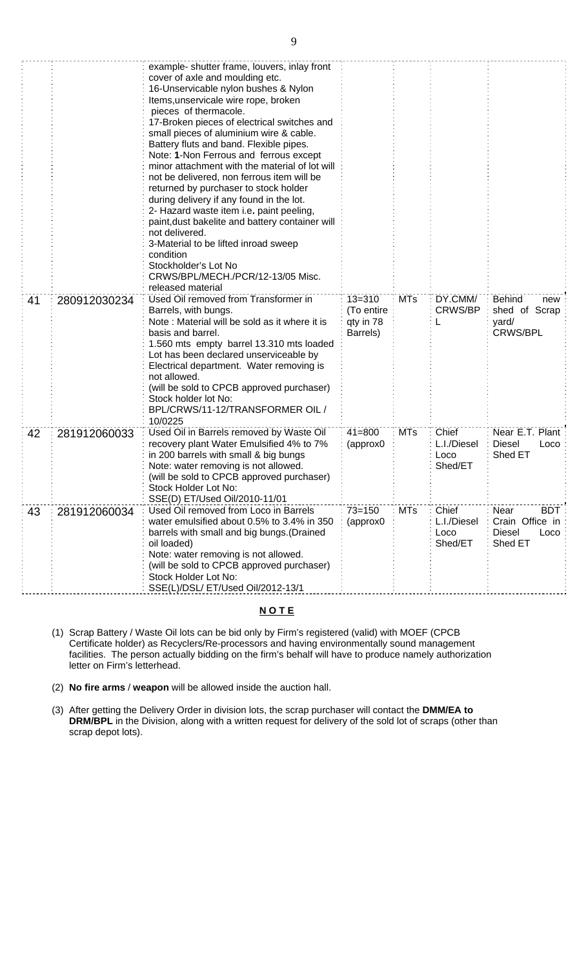|    |              | example- shutter frame, louvers, inlay front<br>cover of axle and moulding etc.<br>16-Unservicable nylon bushes & Nylon<br>Items, unservicale wire rope, broken<br>pieces of thermacole.<br>17-Broken pieces of electrical switches and                                                                                                                                                                  |                                                   |            |                                         |                                                                           |
|----|--------------|----------------------------------------------------------------------------------------------------------------------------------------------------------------------------------------------------------------------------------------------------------------------------------------------------------------------------------------------------------------------------------------------------------|---------------------------------------------------|------------|-----------------------------------------|---------------------------------------------------------------------------|
|    |              | small pieces of aluminium wire & cable.<br>Battery fluts and band. Flexible pipes.<br>Note: 1-Non Ferrous and ferrous except<br>minor attachment with the material of lot will<br>not be delivered, non ferrous item will be<br>returned by purchaser to stock holder<br>during delivery if any found in the lot.<br>2- Hazard waste item i.e. paint peeling,                                            |                                                   |            |                                         |                                                                           |
|    |              | paint, dust bakelite and battery container will<br>not delivered.<br>3-Material to be lifted inroad sweep<br>condition<br>Stockholder's Lot No<br>CRWS/BPL/MECH./PCR/12-13/05 Misc.<br>released material                                                                                                                                                                                                 |                                                   |            |                                         |                                                                           |
| 41 | 280912030234 | Used Oil removed from Transformer in<br>Barrels, with bungs.<br>Note: Material will be sold as it where it is<br>basis and barrel.<br>1.560 mts empty barrel 13.310 mts loaded<br>Lot has been declared unserviceable by<br>Electrical department. Water removing is<br>not allowed.<br>(will be sold to CPCB approved purchaser)<br>Stock holder lot No:<br>BPL/CRWS/11-12/TRANSFORMER OIL /<br>10/0225 | $13 = 310$<br>(To entire<br>qty in 78<br>Barrels) | <b>MTs</b> | DY.CMM/<br>CRWS/BP                      | <b>Behind</b><br>new<br>shed of Scrap<br>yard/<br><b>CRWS/BPL</b>         |
| 42 | 281912060033 | Used Oil in Barrels removed by Waste Oil<br>recovery plant Water Emulsified 4% to 7%<br>in 200 barrels with small & big bungs<br>Note: water removing is not allowed.<br>(will be sold to CPCB approved purchaser)<br>Stock Holder Lot No:<br>SSE(D) ET/Used Oil/2010-11/01                                                                                                                              | $41 = 800$<br>(approx0                            | <b>MTs</b> | Chief<br>L.I./Diesel<br>Loco<br>Shed/ET | Near E.T. Plant<br><b>Diesel</b><br>Loco<br>Shed ET                       |
| 43 | 281912060034 | Used Oil removed from Loco in Barrels<br>water emulsified about 0.5% to 3.4% in 350<br>barrels with small and big bungs. (Drained<br>oil loaded)<br>Note: water removing is not allowed.<br>(will be sold to CPCB approved purchaser)<br>Stock Holder Lot No:<br>SSE(L)/DSL/ ET/Used Oil/2012-13/1                                                                                                       | $73 = 150$<br>(approx0                            | <b>MTs</b> | Chief<br>L.I./Diesel<br>Loco<br>Shed/ET | Near<br><b>BDT</b><br>Crain Office in<br><b>Diesel</b><br>Loco<br>Shed ET |

# **N O T E**

- (1) Scrap Battery / Waste Oil lots can be bid only by Firm's registered (valid) with MOEF (CPCB Certificate holder) as Recyclers/Re-processors and having environmentally sound management facilities. The person actually bidding on the firm's behalf will have to produce namely authorization letter on Firm's letterhead.
- (2) **No fire arms** / **weapon** will be allowed inside the auction hall.
- (3) After getting the Delivery Order in division lots, the scrap purchaser will contact the **DMM/EA to DRM/BPL** in the Division, along with a written request for delivery of the sold lot of scraps (other than scrap depot lots).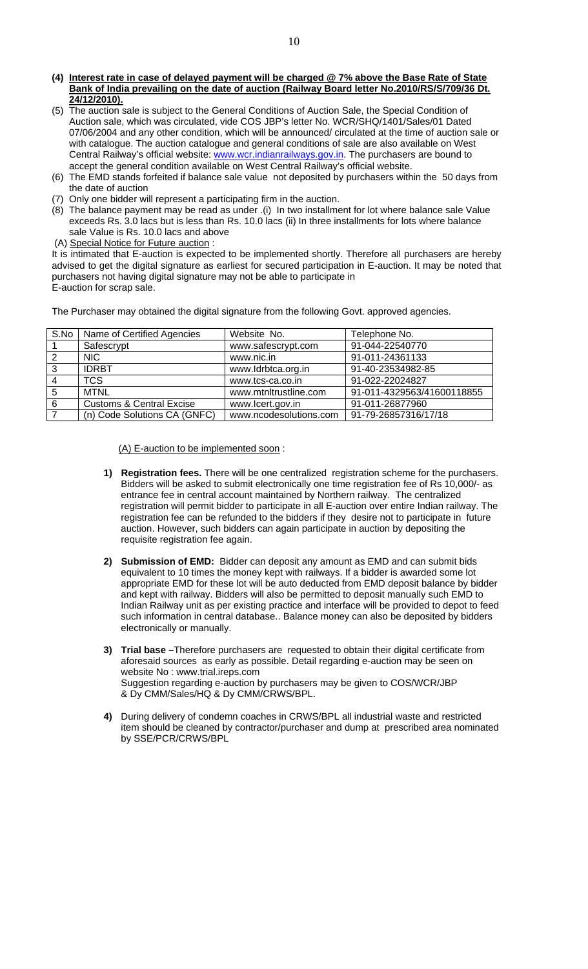- **(4) Interest rate in case of delayed payment will be charged @ 7% above the Base Rate of State Bank of India prevailing on the date of auction (Railway Board letter No.2010/RS/S/709/36 Dt. 24/12/2010).**
- (5) The auction sale is subject to the General Conditions of Auction Sale, the Special Condition of Auction sale, which was circulated, vide COS JBP's letter No. WCR/SHQ/1401/Sales/01 Dated 07/06/2004 and any other condition, which will be announced/ circulated at the time of auction sale or with catalogue. The auction catalogue and general conditions of sale are also available on West Central Railway's official website: www.wcr.indianrailways.gov.in. The purchasers are bound to accept the general condition available on West Central Railway's official website.
- (6) The EMD stands forfeited if balance sale value not deposited by purchasers within the 50 days from the date of auction
- (7) Only one bidder will represent a participating firm in the auction.
- (8) The balance payment may be read as under .(i) In two installment for lot where balance sale Value exceeds Rs. 3.0 lacs but is less than Rs. 10.0 lacs (ii) In three installments for lots where balance sale Value is Rs. 10.0 lacs and above
- (A) Special Notice for Future auction :

It is intimated that E-auction is expected to be implemented shortly. Therefore all purchasers are hereby advised to get the digital signature as earliest for secured participation in E-auction. It may be noted that purchasers not having digital signature may not be able to participate in E-auction for scrap sale.

The Purchaser may obtained the digital signature from the following Govt. approved agencies.

|   | S.No   Name of Certified Agencies   | Website No.            | Telephone No.              |
|---|-------------------------------------|------------------------|----------------------------|
|   | Safescrypt                          | www.safescrypt.com     | 91-044-22540770            |
|   | NIC.                                | www.nic.in             | 91-011-24361133            |
| 3 | <b>IDRBT</b>                        | www.ldrbtca.org.in     | 91-40-23534982-85          |
|   | TCS.                                | www.tcs-ca.co.in       | 91-022-22024827            |
| 5 | MTNL                                | www.mtnltrustline.com  | 91-011-4329563/41600118855 |
| 6 | <b>Customs &amp; Central Excise</b> | www.lcert.gov.in       | 91-011-26877960            |
|   | (n) Code Solutions CA (GNFC)        | www.ncodesolutions.com | 91-79-26857316/17/18       |

(A) E-auction to be implemented soon :

- **1) Registration fees.** There will be one centralized registration scheme for the purchasers. Bidders will be asked to submit electronically one time registration fee of Rs 10,000/- as entrance fee in central account maintained by Northern railway. The centralized registration will permit bidder to participate in all E-auction over entire Indian railway. The registration fee can be refunded to the bidders if they desire not to participate in future auction. However, such bidders can again participate in auction by depositing the requisite registration fee again.
- **2) Submission of EMD:** Bidder can deposit any amount as EMD and can submit bids equivalent to 10 times the money kept with railways. If a bidder is awarded some lot appropriate EMD for these lot will be auto deducted from EMD deposit balance by bidder and kept with railway. Bidders will also be permitted to deposit manually such EMD to Indian Railway unit as per existing practice and interface will be provided to depot to feed such information in central database.. Balance money can also be deposited by bidders electronically or manually.
- **3) Trial base –**Therefore purchasers are requested to obtain their digital certificate from aforesaid sources as early as possible. Detail regarding e-auction may be seen on website No : www.trial.ireps.com Suggestion regarding e-auction by purchasers may be given to COS/WCR/JBP & Dy CMM/Sales/HQ & Dy CMM/CRWS/BPL.
- **4)** During delivery of condemn coaches in CRWS/BPL all industrial waste and restricted item should be cleaned by contractor/purchaser and dump at prescribed area nominated by SSE/PCR/CRWS/BPL